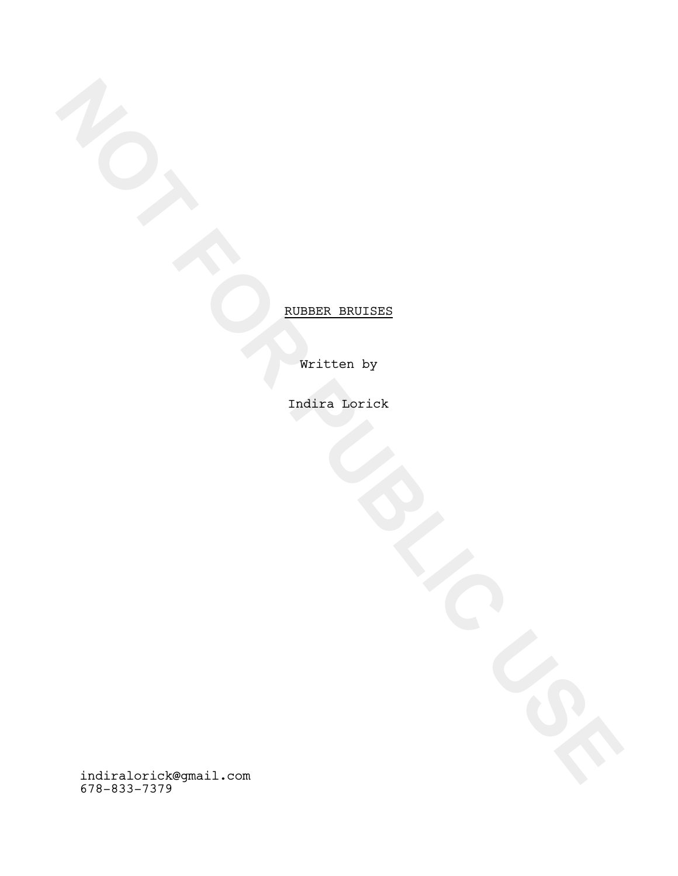Written by

Indira Lorick

**NOT FOR PUBLIC USE** RUBBER BRUISES indiralorick@gmail.com 678-833-7379